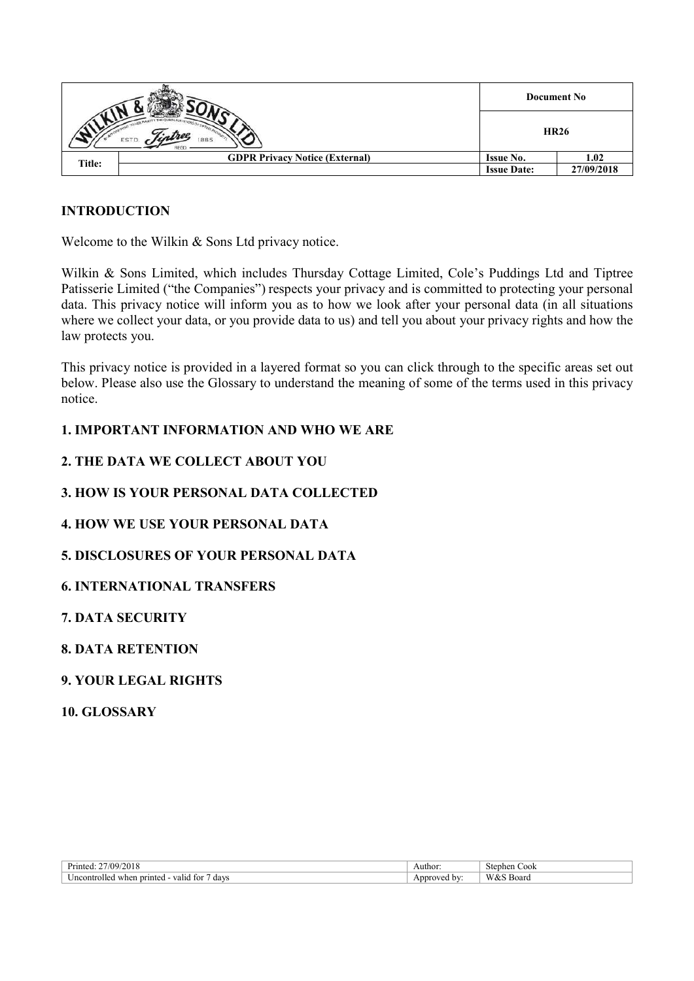|        |                                       | <b>Document No</b> |            |
|--------|---------------------------------------|--------------------|------------|
|        | <b>EST</b><br>885                     | <b>HR26</b>        |            |
|        | <b>GDPR Privacy Notice (External)</b> | <b>Issue No.</b>   | 1.02       |
| Title: |                                       | <b>Issue Date:</b> | 27/09/2018 |

# **INTRODUCTION**

Welcome to the Wilkin & Sons Ltd privacy notice.

Wilkin & Sons Limited, which includes Thursday Cottage Limited, Cole's Puddings Ltd and Tiptree Patisserie Limited ("the Companies") respects your privacy and is committed to protecting your personal data. This privacy notice will inform you as to how we look after your personal data (in all situations where we collect your data, or you provide data to us) and tell you about your privacy rights and how the law protects you.

This privacy notice is provided in a layered format so you can click through to the specific areas set out below. Please also use the Glossary to understand the meaning of some of the terms used in this privacy notice.

# **1. IMPORTANT INFORMATION AND WHO WE ARE**

## **2. THE DATA WE COLLECT ABOUT YOU**

## **3. HOW IS YOUR PERSONAL DATA COLLECTED**

## **4. HOW WE USE YOUR PERSONAL DATA**

# **5. DISCLOSURES OF YOUR PERSONAL DATA**

## **6. INTERNATIONAL TRANSFERS**

## **7. DATA SECURITY**

## **8. DATA RETENTION**

# **9. YOUR LEGAL RIGHTS**

# **10. GLOSSARY**

| 201c<br>/ΛΩ<br>Printed:                                                      | utnor    | Cook<br>stepher                          |
|------------------------------------------------------------------------------|----------|------------------------------------------|
| $ -$<br>davs<br>-tor<br>valu.<br>when<br>-nrinted<br><b>Incontr</b><br>. ler | hv<br>n. | TTT.<br>$\boldsymbol{x}$<br><b>Board</b> |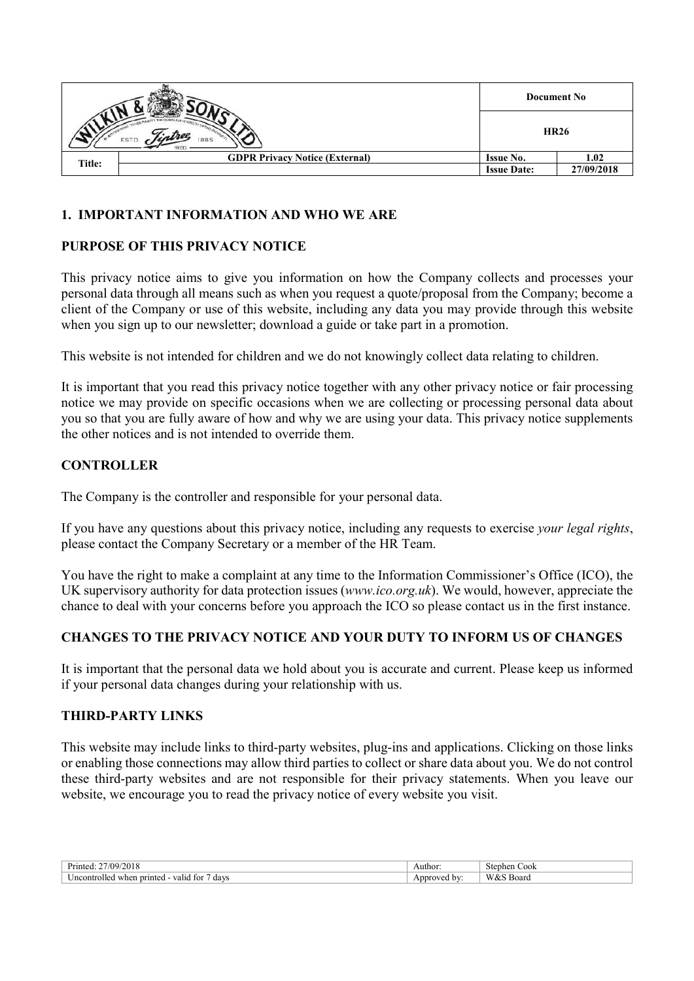|        |                                       | <b>Document No</b> |            |
|--------|---------------------------------------|--------------------|------------|
|        | ESTD<br>885                           | <b>HR26</b>        |            |
| Title: | <b>GDPR Privacy Notice (External)</b> | <b>Issue No.</b>   | 1.02       |
|        |                                       | <b>Issue Date:</b> | 27/09/2018 |

# **1. IMPORTANT INFORMATION AND WHO WE ARE**

## **PURPOSE OF THIS PRIVACY NOTICE**

This privacy notice aims to give you information on how the Company collects and processes your personal data through all means such as when you request a quote/proposal from the Company; become a client of the Company or use of this website, including any data you may provide through this website when you sign up to our newsletter; download a guide or take part in a promotion.

This website is not intended for children and we do not knowingly collect data relating to children.

It is important that you read this privacy notice together with any other privacy notice or fair processing notice we may provide on specific occasions when we are collecting or processing personal data about you so that you are fully aware of how and why we are using your data. This privacy notice supplements the other notices and is not intended to override them.

## **CONTROLLER**

The Company is the controller and responsible for your personal data.

If you have any questions about this privacy notice, including any requests to exercise *your legal rights*, please contact the Company Secretary or a member of the HR Team.

You have the right to make a complaint at any time to the Information Commissioner's Office (ICO), the UK supervisory authority for data protection issues (*www.ico.org.uk*). We would, however, appreciate the chance to deal with your concerns before you approach the ICO so please contact us in the first instance.

## **CHANGES TO THE PRIVACY NOTICE AND YOUR DUTY TO INFORM US OF CHANGES**

It is important that the personal data we hold about you is accurate and current. Please keep us informed if your personal data changes during your relationship with us.

## **THIRD-PARTY LINKS**

This website may include links to third-party websites, plug-ins and applications. Clicking on those links or enabling those connections may allow third parties to collect or share data about you. We do not control these third-party websites and are not responsible for their privacy statements. When you leave our website, we encourage you to read the privacy notice of every website you visit.

| 709/2018<br>$\sqrt{ }$<br>Printed                                      | Author                      | $\sim$<br>Stephen<br><b>Cook</b>                       |
|------------------------------------------------------------------------|-----------------------------|--------------------------------------------------------|
| $ -$<br>davs<br>. for<br>valid.<br>Jncontr<br>printed<br>when<br>olled | hv<br>nnt<br>Ωī<br>$\alpha$ | $\overline{\phantom{a}}$<br>$W_{\mathcal{R}}$<br>Board |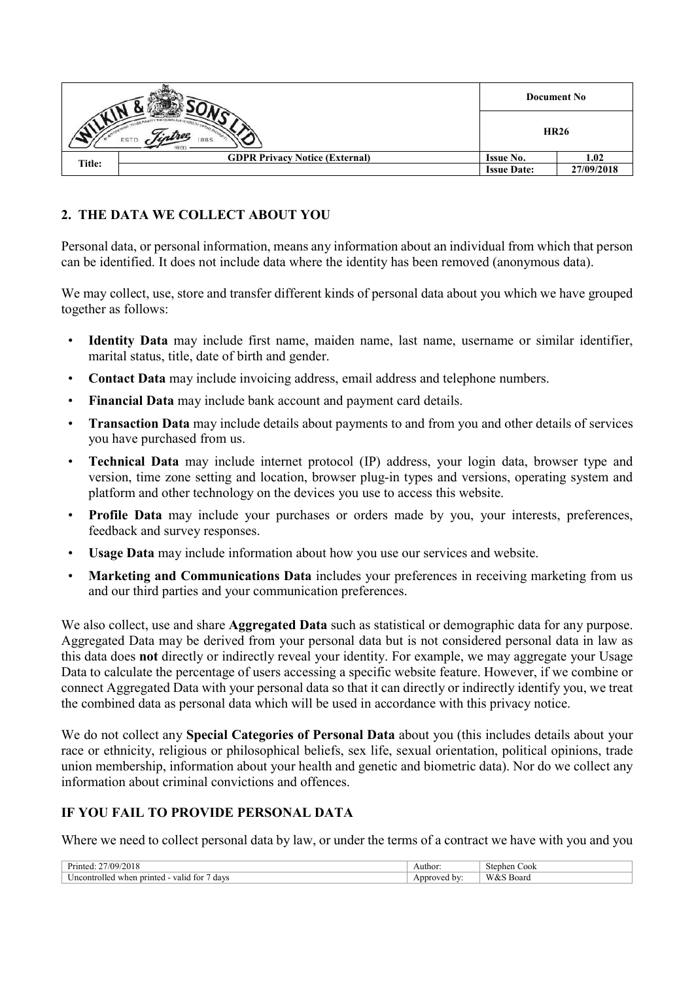|        |                                       | <b>Document No</b> |            |
|--------|---------------------------------------|--------------------|------------|
|        | ESTO<br>885                           | <b>HR26</b>        |            |
|        | <b>GDPR Privacy Notice (External)</b> | <b>Issue No.</b>   | 1.02       |
| Title: |                                       | <b>Issue Date:</b> | 27/09/2018 |

# **2. THE DATA WE COLLECT ABOUT YOU**

Personal data, or personal information, means any information about an individual from which that person can be identified. It does not include data where the identity has been removed (anonymous data).

We may collect, use, store and transfer different kinds of personal data about you which we have grouped together as follows:

- **Identity Data** may include first name, maiden name, last name, username or similar identifier, marital status, title, date of birth and gender.
- **Contact Data** may include invoicing address, email address and telephone numbers.
- **Financial Data** may include bank account and payment card details.
- **Transaction Data** may include details about payments to and from you and other details of services you have purchased from us.
- **Technical Data** may include internet protocol (IP) address, your login data, browser type and version, time zone setting and location, browser plug-in types and versions, operating system and platform and other technology on the devices you use to access this website.
- **Profile Data** may include your purchases or orders made by you, your interests, preferences, feedback and survey responses.
- **Usage Data** may include information about how you use our services and website.
- **Marketing and Communications Data** includes your preferences in receiving marketing from us and our third parties and your communication preferences.

We also collect, use and share **Aggregated Data** such as statistical or demographic data for any purpose. Aggregated Data may be derived from your personal data but is not considered personal data in law as this data does **not** directly or indirectly reveal your identity. For example, we may aggregate your Usage Data to calculate the percentage of users accessing a specific website feature. However, if we combine or connect Aggregated Data with your personal data so that it can directly or indirectly identify you, we treat the combined data as personal data which will be used in accordance with this privacy notice.

We do not collect any **Special Categories of Personal Data** about you (this includes details about your race or ethnicity, religious or philosophical beliefs, sex life, sexual orientation, political opinions, trade union membership, information about your health and genetic and biometric data). Nor do we collect any information about criminal convictions and offences.

## **IF YOU FAIL TO PROVIDE PERSONAL DATA**

Where we need to collect personal data by law, or under the terms of a contract we have with you and you

| 1/09/201<br>$\overline{\phantom{a}}$<br>Printe<br>.               | Author        | $\sim$<br>Stephen<br>Cook                   |
|-------------------------------------------------------------------|---------------|---------------------------------------------|
| - -<br>davs<br>tor<br>printed<br>valid<br>when<br>.ollec<br>≏onti | hv:<br>๛<br>. | $\sim$ $\sim$<br>$W_{\mathcal{R}}$<br>Board |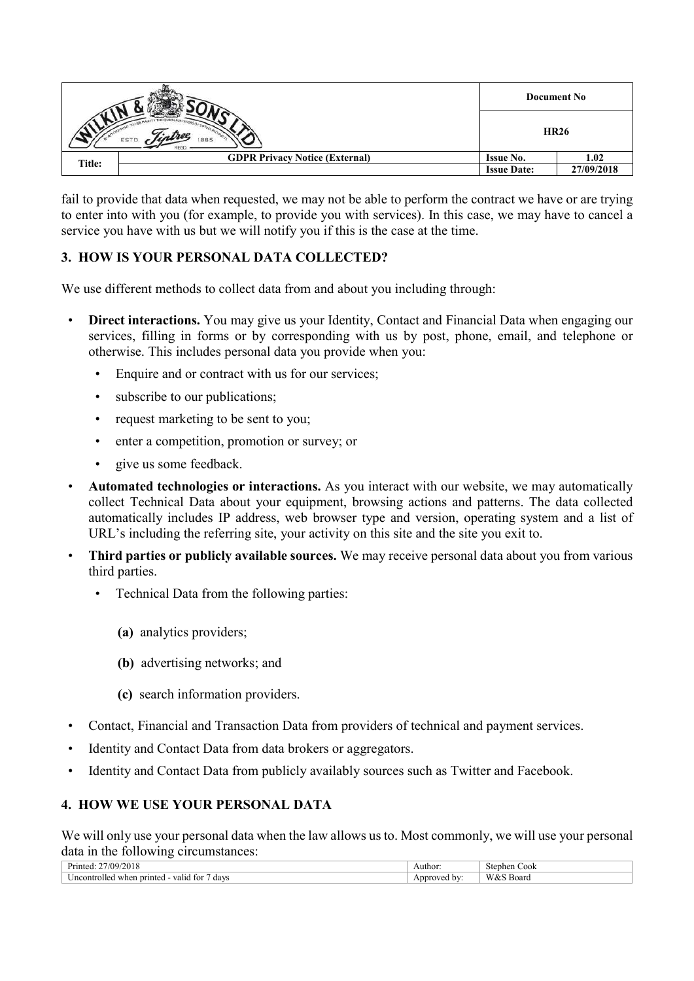|        |                                       | <b>Document No</b> |            |
|--------|---------------------------------------|--------------------|------------|
|        | ESTE<br>885<br><b>BEGI</b>            | <b>HR26</b>        |            |
|        | <b>GDPR Privacy Notice (External)</b> | <b>Issue No.</b>   | 1.02       |
| Title: |                                       | <b>Issue Date:</b> | 27/09/2018 |

fail to provide that data when requested, we may not be able to perform the contract we have or are trying to enter into with you (for example, to provide you with services). In this case, we may have to cancel a service you have with us but we will notify you if this is the case at the time.

# **3. HOW IS YOUR PERSONAL DATA COLLECTED?**

We use different methods to collect data from and about you including through:

- **Direct interactions.** You may give us your Identity, Contact and Financial Data when engaging our services, filling in forms or by corresponding with us by post, phone, email, and telephone or otherwise. This includes personal data you provide when you:
	- Enquire and or contract with us for our services;
	- subscribe to our publications;
	- request marketing to be sent to you;
	- enter a competition, promotion or survey; or
	- give us some feedback.
- **Automated technologies or interactions.** As you interact with our website, we may automatically collect Technical Data about your equipment, browsing actions and patterns. The data collected automatically includes IP address, web browser type and version, operating system and a list of URL's including the referring site, your activity on this site and the site you exit to.
- **Third parties or publicly available sources.** We may receive personal data about you from various third parties.
	- Technical Data from the following parties:
		- **(a)** analytics providers;
		- **(b)** advertising networks; and
		- **(c)** search information providers.
- Contact, Financial and Transaction Data from providers of technical and payment services.
- Identity and Contact Data from data brokers or aggregators.
- Identity and Contact Data from publicly availably sources such as Twitter and Facebook.

#### **4. HOW WE USE YOUR PERSONAL DATA**

We will only use your personal data when the law allows us to. Most commonly, we will use your personal data in the following circumstances:

| 7/09/2018<br>$\overline{\phantom{a}}$<br>Printed:                                             | Author<br>▵                            | <b>Stephen</b><br>COOK       |
|-----------------------------------------------------------------------------------------------|----------------------------------------|------------------------------|
| - -<br>valıo<br>davs<br>tor<br>when<br>contr.<br>printed<br>$\overline{\phantom{a}}$<br>olled | hv·<br>nroved<br>$\Delta P^*$<br>vuu v | W&<br>$\sim$ $\sim$<br>Board |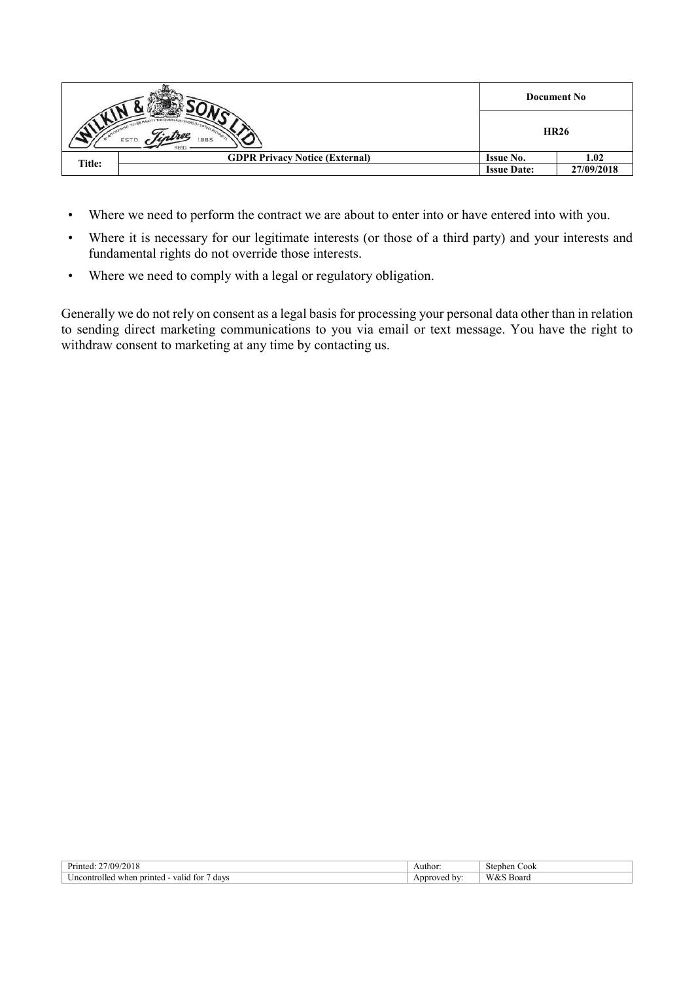|        |                                       | <b>Document No</b> |            |
|--------|---------------------------------------|--------------------|------------|
|        | ESTO<br>885                           | <b>HR26</b>        |            |
| Title: | <b>GDPR Privacy Notice (External)</b> | <b>Issue No.</b>   | 1.02       |
|        |                                       | <b>Issue Date:</b> | 27/09/2018 |

- Where we need to perform the contract we are about to enter into or have entered into with you.
- Where it is necessary for our legitimate interests (or those of a third party) and your interests and fundamental rights do not override those interests.
- Where we need to comply with a legal or regulatory obligation.

Generally we do not rely on consent as a legal basis for processing your personal data other than in relation to sending direct marketing communications to you via email or text message. You have the right to withdraw consent to marketing at any time by contacting us.

| $\sim$<br>$\sqrt{2}$<br>70 Y X<br>Printed<br>40 L C<br>$\cdots$               | vuunor | COOK<br>stephen           |
|-------------------------------------------------------------------------------|--------|---------------------------|
| $\sim$ $\sim$<br>davs<br>. for<br>. Incontr<br>when<br>valu<br>printed<br>uec | hv     | Boar<br>$W_{\mathcal{A}}$ |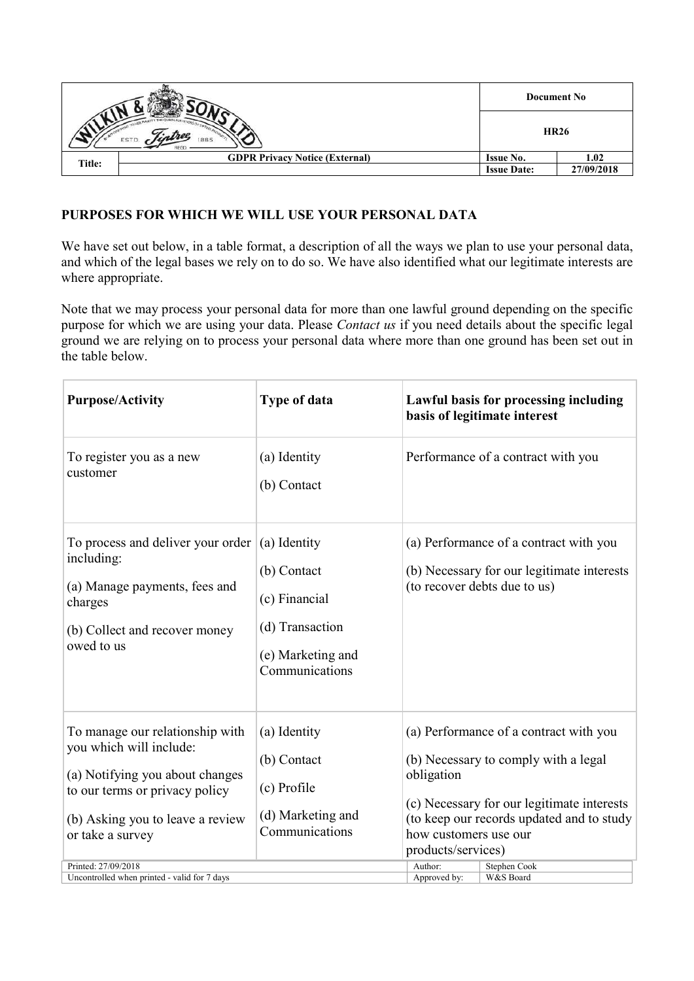|        |                                       | <b>Document No</b> |            |
|--------|---------------------------------------|--------------------|------------|
|        | <b>ESTI</b><br>885                    | <b>HR26</b>        |            |
|        | <b>GDPR Privacy Notice (External)</b> | <b>Issue No.</b>   | 1.02       |
| Title: |                                       | <b>Issue Date:</b> | 27/09/2018 |

## **PURPOSES FOR WHICH WE WILL USE YOUR PERSONAL DATA**

We have set out below, in a table format, a description of all the ways we plan to use your personal data, and which of the legal bases we rely on to do so. We have also identified what our legitimate interests are where appropriate.

Note that we may process your personal data for more than one lawful ground depending on the specific purpose for which we are using your data. Please *Contact us* if you need details about the specific legal ground we are relying on to process your personal data where more than one ground has been set out in the table below.

| <b>Purpose/Activity</b>                                                                                                                                                                                        | <b>Type of data</b>                                                                                    | Lawful basis for processing including<br>basis of legitimate interest                                                                                                                                                                                             |  |  |
|----------------------------------------------------------------------------------------------------------------------------------------------------------------------------------------------------------------|--------------------------------------------------------------------------------------------------------|-------------------------------------------------------------------------------------------------------------------------------------------------------------------------------------------------------------------------------------------------------------------|--|--|
| To register you as a new<br>customer                                                                                                                                                                           | (a) Identity<br>(b) Contact                                                                            | Performance of a contract with you                                                                                                                                                                                                                                |  |  |
| To process and deliver your order<br>including:<br>(a) Manage payments, fees and<br>charges<br>(b) Collect and recover money<br>owed to us                                                                     | (a) Identity<br>(b) Contact<br>(c) Financial<br>(d) Transaction<br>(e) Marketing and<br>Communications | (a) Performance of a contract with you<br>(b) Necessary for our legitimate interests<br>(to recover debts due to us)                                                                                                                                              |  |  |
| To manage our relationship with<br>you which will include:<br>(a) Notifying you about changes<br>to our terms or privacy policy<br>(b) Asking you to leave a review<br>or take a survey<br>Printed: 27/09/2018 | (a) Identity<br>(b) Contact<br>(c) Profile<br>(d) Marketing and<br>Communications                      | (a) Performance of a contract with you<br>(b) Necessary to comply with a legal<br>obligation<br>(c) Necessary for our legitimate interests<br>(to keep our records updated and to study<br>how customers use our<br>products/services)<br>Author:<br>Stephen Cook |  |  |
| Uncontrolled when printed - valid for 7 days<br>Approved by:<br>W&S Board                                                                                                                                      |                                                                                                        |                                                                                                                                                                                                                                                                   |  |  |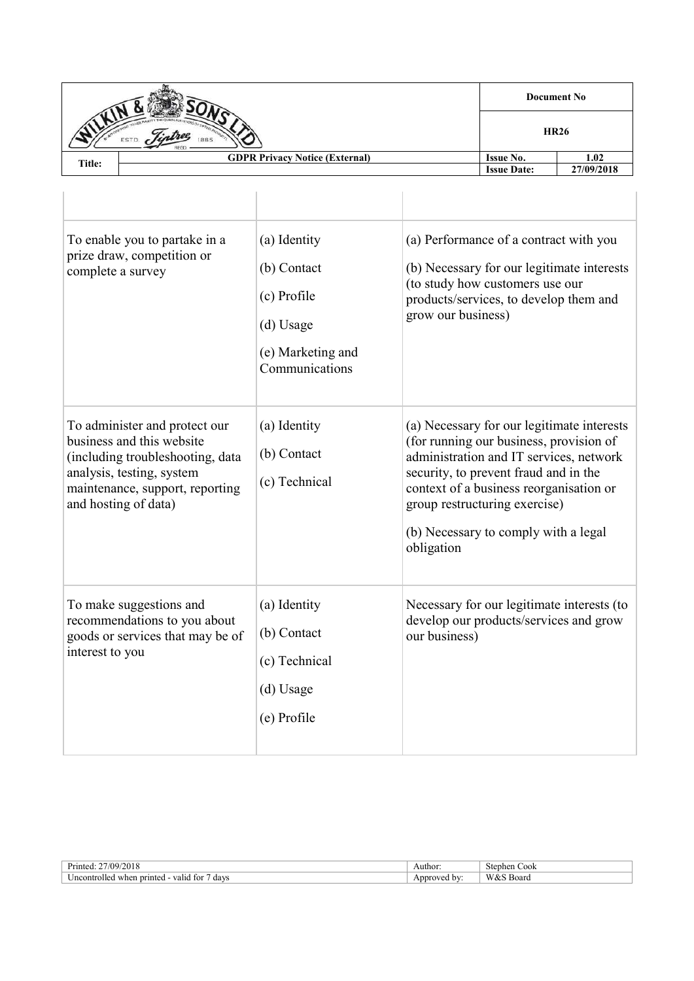|        |                                       | <b>Document No</b> |            |
|--------|---------------------------------------|--------------------|------------|
|        | ESTO<br>885                           | <b>HR26</b>        |            |
| Title: | <b>GDPR Privacy Notice (External)</b> | <b>Issue No.</b>   | 1.02       |
|        |                                       | <b>Issue Date:</b> | 27/09/2018 |

| To enable you to partake in a<br>prize draw, competition or<br>complete a survey                                                                                                       | (a) Identity<br>(b) Contact<br>(c) Profile<br>(d) Usage<br>(e) Marketing and<br>Communications | (a) Performance of a contract with you<br>(b) Necessary for our legitimate interests<br>(to study how customers use our<br>products/services, to develop them and<br>grow our business)                                                                                                                     |
|----------------------------------------------------------------------------------------------------------------------------------------------------------------------------------------|------------------------------------------------------------------------------------------------|-------------------------------------------------------------------------------------------------------------------------------------------------------------------------------------------------------------------------------------------------------------------------------------------------------------|
| To administer and protect our<br>business and this website<br>(including troubleshooting, data<br>analysis, testing, system<br>maintenance, support, reporting<br>and hosting of data) | (a) Identity<br>(b) Contact<br>(c) Technical                                                   | (a) Necessary for our legitimate interests<br>(for running our business, provision of<br>administration and IT services, network<br>security, to prevent fraud and in the<br>context of a business reorganisation or<br>group restructuring exercise)<br>(b) Necessary to comply with a legal<br>obligation |
| To make suggestions and<br>recommendations to you about<br>goods or services that may be of<br>interest to you                                                                         | (a) Identity<br>(b) Contact<br>(c) Technical<br>(d) Usage<br>(e) Profile                       | Necessary for our legitimate interests (to<br>develop our products/services and grow<br>our business)                                                                                                                                                                                                       |

| /2018<br>Printed.<br>70 N.H                                                | Autho <sub>1</sub> | $\sim$<br>.00K<br>Stephen                              |
|----------------------------------------------------------------------------|--------------------|--------------------------------------------------------|
| $\sim$ $\sim$<br>davs<br>when<br>. Incontrolle<br>-tor<br>printed<br>valid | nnn                | <b>III</b><br>$\overline{\phantom{a}}$<br>Board<br>N N |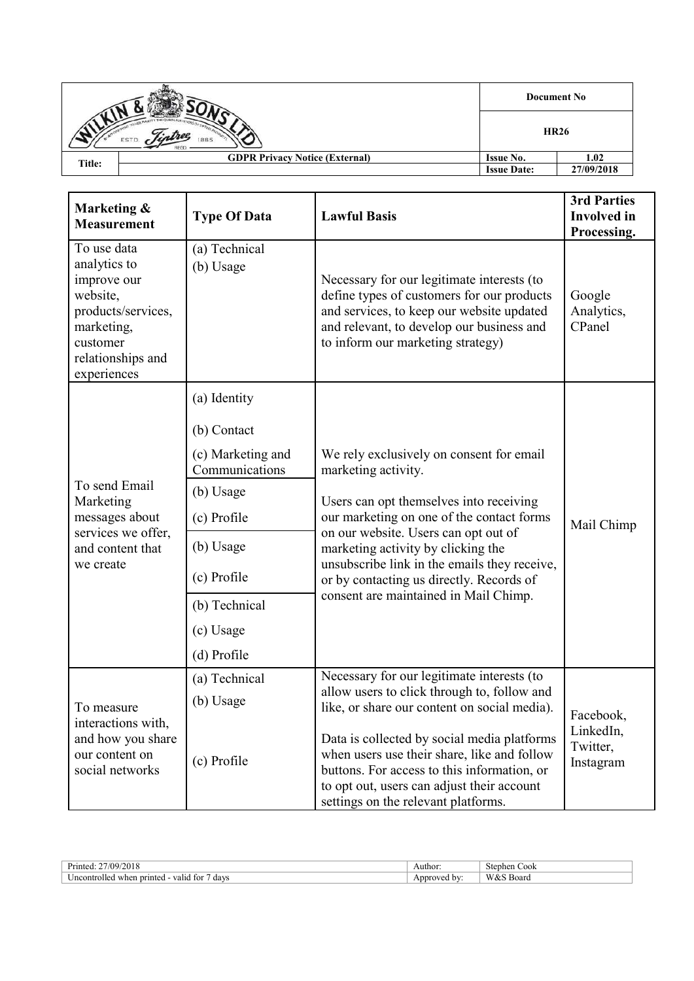|        |                                       | <b>Document No</b> |            |
|--------|---------------------------------------|--------------------|------------|
|        | ESTD<br>885                           | <b>HR26</b>        |            |
| Title: | <b>GDPR Privacy Notice (External)</b> | <b>Issue No.</b>   | 1.02       |
|        |                                       | <b>Issue Date:</b> | 27/09/2018 |

| Marketing &<br><b>Measurement</b>                                                                                                                                                                                                                                                                                                                                                   | <b>Type Of Data</b>        | <b>3rd Parties</b><br><b>Lawful Basis</b><br><b>Involved</b> in<br>Processing.                                                                                                                                                                                                                                                                                              |                                                 |
|-------------------------------------------------------------------------------------------------------------------------------------------------------------------------------------------------------------------------------------------------------------------------------------------------------------------------------------------------------------------------------------|----------------------------|-----------------------------------------------------------------------------------------------------------------------------------------------------------------------------------------------------------------------------------------------------------------------------------------------------------------------------------------------------------------------------|-------------------------------------------------|
| To use data<br>analytics to<br>improve our<br>website,<br>products/services,<br>marketing,<br>customer<br>relationships and<br>experiences                                                                                                                                                                                                                                          | (a) Technical<br>(b) Usage | Necessary for our legitimate interests (to<br>define types of customers for our products<br>and services, to keep our website updated<br>and relevant, to develop our business and<br>to inform our marketing strategy)                                                                                                                                                     | Google<br>Analytics,<br>CPanel                  |
| (a) Identity<br>(b) Contact<br>(c) Marketing and<br>Communications<br>marketing activity.<br>To send Email<br>(b) Usage<br>Marketing<br>messages about<br>(c) Profile<br>services we offer,<br>on our website. Users can opt out of<br>(b) Usage<br>and content that<br>marketing activity by clicking the<br>we create<br>(c) Profile<br>(b) Technical<br>(c) Usage<br>(d) Profile |                            | We rely exclusively on consent for email<br>Users can opt themselves into receiving<br>our marketing on one of the contact forms<br>unsubscribe link in the emails they receive,<br>or by contacting us directly. Records of<br>consent are maintained in Mail Chimp.                                                                                                       | Mail Chimp                                      |
| (a) Technical<br>(b) Usage<br>To measure<br>interactions with,<br>and how you share<br>our content on<br>(c) Profile<br>social networks                                                                                                                                                                                                                                             |                            | Necessary for our legitimate interests (to<br>allow users to click through to, follow and<br>like, or share our content on social media).<br>Data is collected by social media platforms<br>when users use their share, like and follow<br>buttons. For access to this information, or<br>to opt out, users can adjust their account<br>settings on the relevant platforms. | Facebook,<br>LinkedIn,<br>Twitter,<br>Instagram |

| $\frac{1}{2018}$<br>$\sim$<br>/09/<br>anteg:                  | \uthor:        | <b>Cook</b><br>stepher |
|---------------------------------------------------------------|----------------|------------------------|
| $ -$<br>when<br>. for<br>davs<br>printed<br>Incontro<br>valid | Hx<br>$\alpha$ | 30ard                  |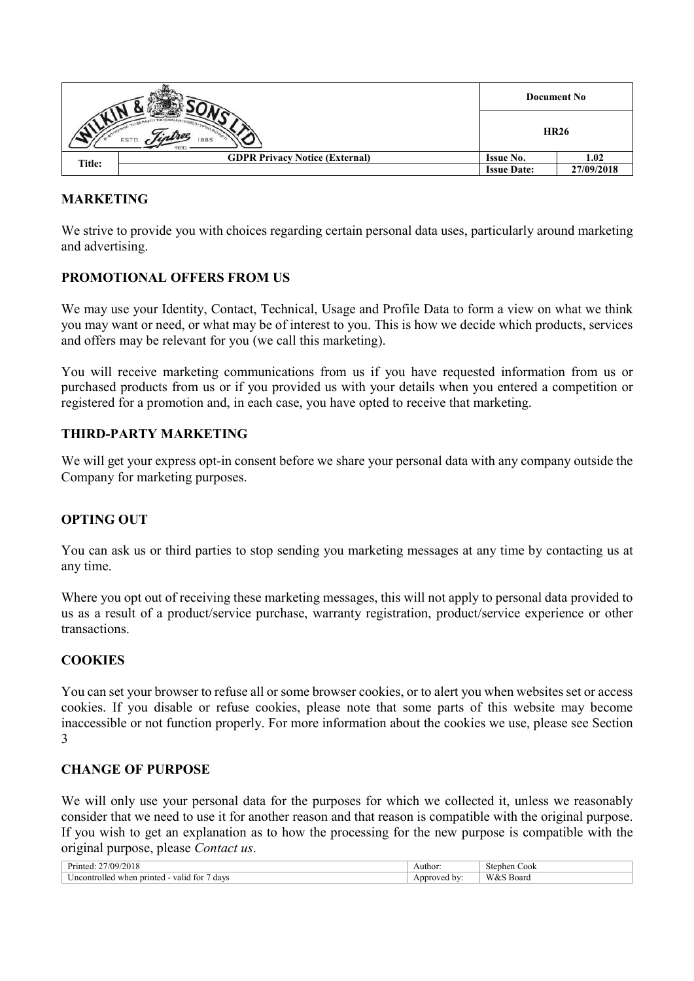|        |                                       | <b>Document No</b> |            |
|--------|---------------------------------------|--------------------|------------|
|        | <b>ESTI</b><br>1885                   | <b>HR26</b>        |            |
| Title: | <b>GDPR Privacy Notice (External)</b> | <b>Issue No.</b>   | 1.02       |
|        |                                       | <b>Issue Date:</b> | 27/09/2018 |

## **MARKETING**

We strive to provide you with choices regarding certain personal data uses, particularly around marketing and advertising.

## **PROMOTIONAL OFFERS FROM US**

We may use your Identity, Contact, Technical, Usage and Profile Data to form a view on what we think you may want or need, or what may be of interest to you. This is how we decide which products, services and offers may be relevant for you (we call this marketing).

You will receive marketing communications from us if you have requested information from us or purchased products from us or if you provided us with your details when you entered a competition or registered for a promotion and, in each case, you have opted to receive that marketing.

#### **THIRD-PARTY MARKETING**

We will get your express opt-in consent before we share your personal data with any company outside the Company for marketing purposes.

## **OPTING OUT**

You can ask us or third parties to stop sending you marketing messages at any time by contacting us at any time.

Where you opt out of receiving these marketing messages, this will not apply to personal data provided to us as a result of a product/service purchase, warranty registration, product/service experience or other transactions.

## **COOKIES**

You can set your browser to refuse all or some browser cookies, or to alert you when websites set or access cookies. If you disable or refuse cookies, please note that some parts of this website may become inaccessible or not function properly. For more information about the cookies we use, please see Section 3

## **CHANGE OF PURPOSE**

We will only use your personal data for the purposes for which we collected it, unless we reasonably consider that we need to use it for another reason and that reason is compatible with the original purpose. If you wish to get an explanation as to how the processing for the new purpose is compatible with the original purpose, please *Contact us*.

| $\mathbf{r}$<br>1001C<br>$\cdots$<br>709<br>.v.v            | лишот.   | Cook<br>Stephen                    |
|-------------------------------------------------------------|----------|------------------------------------|
| davs<br>valıd<br>. for<br>when<br>printed<br><b>Incontr</b> | $\alpha$ | $\cdots$<br><b>.</b><br>Зoarс<br>. |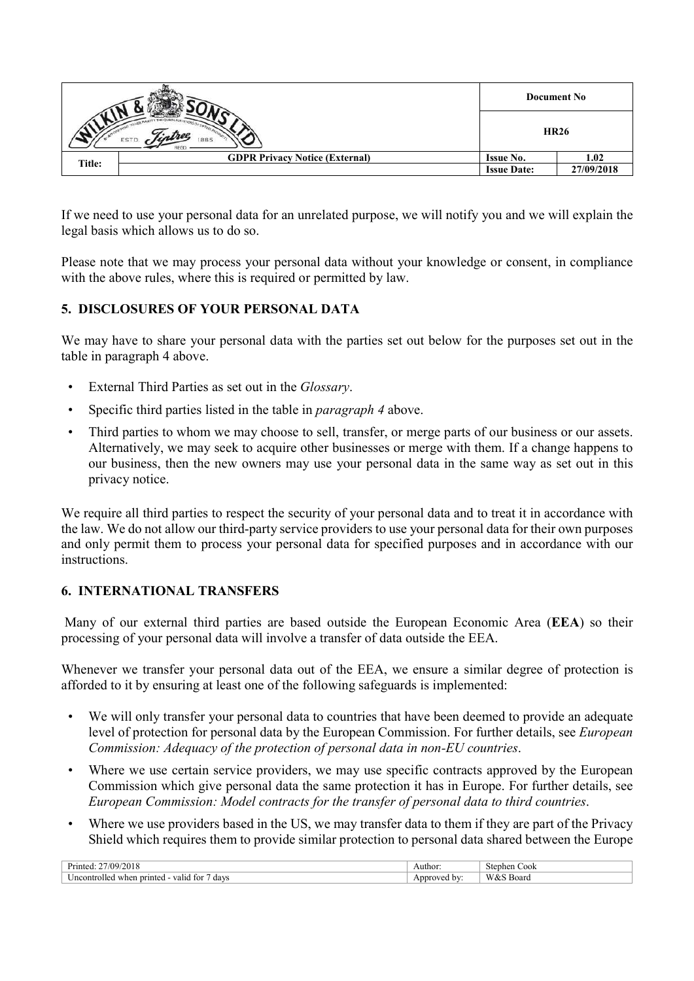|        |                                       | <b>Document No</b> |             |
|--------|---------------------------------------|--------------------|-------------|
|        | ESTO<br>885                           |                    | <b>HR26</b> |
|        | <b>GDPR Privacy Notice (External)</b> | <b>Issue No.</b>   | 1.02        |
| Title: |                                       | <b>Issue Date:</b> | 27/09/2018  |

If we need to use your personal data for an unrelated purpose, we will notify you and we will explain the legal basis which allows us to do so.

Please note that we may process your personal data without your knowledge or consent, in compliance with the above rules, where this is required or permitted by law.

## **5. DISCLOSURES OF YOUR PERSONAL DATA**

We may have to share your personal data with the parties set out below for the purposes set out in the table in paragraph 4 above.

- External Third Parties as set out in the *Glossary*.
- Specific third parties listed in the table in *paragraph 4* above.
- Third parties to whom we may choose to sell, transfer, or merge parts of our business or our assets. Alternatively, we may seek to acquire other businesses or merge with them. If a change happens to our business, then the new owners may use your personal data in the same way as set out in this privacy notice.

We require all third parties to respect the security of your personal data and to treat it in accordance with the law. We do not allow our third-party service providers to use your personal data for their own purposes and only permit them to process your personal data for specified purposes and in accordance with our instructions.

## **6. INTERNATIONAL TRANSFERS**

Many of our external third parties are based outside the European Economic Area (**EEA**) so their processing of your personal data will involve a transfer of data outside the EEA.

Whenever we transfer your personal data out of the EEA, we ensure a similar degree of protection is afforded to it by ensuring at least one of the following safeguards is implemented:

- We will only transfer your personal data to countries that have been deemed to provide an adequate level of protection for personal data by the European Commission. For further details, see *European Commission: Adequacy of the protection of personal data in non-EU countries*.
- Where we use certain service providers, we may use specific contracts approved by the European Commission which give personal data the same protection it has in Europe. For further details, see *European Commission: Model contracts for the transfer of personal data to third countries*.
- Where we use providers based in the US, we may transfer data to them if they are part of the Privacy Shield which requires them to provide similar protection to personal data shared between the Europe

| Printed:<br>/2018<br>٬۵۹                                                            | Authoi         | -<br>Cook<br>stephen       |
|-------------------------------------------------------------------------------------|----------------|----------------------------|
| $\sim$ $\sim$<br>' davs<br>valio<br>printed<br>when<br>. for<br><b>Incontrolled</b> | N <sub>U</sub> | -<br>Board<br>$N_{\alpha}$ |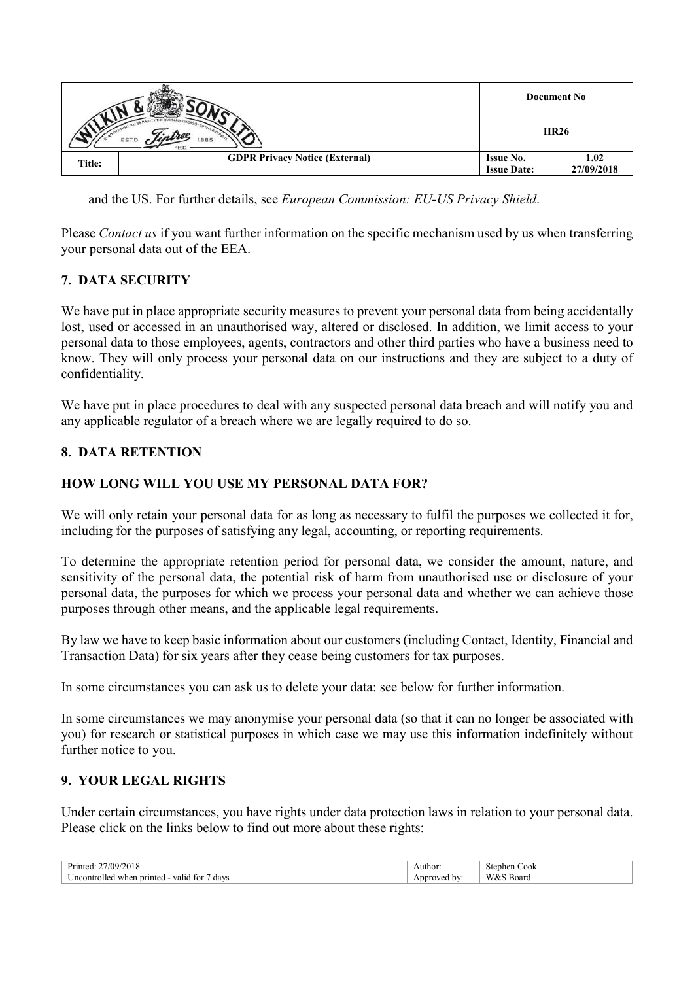|        |                                       | <b>Document No</b> |             |
|--------|---------------------------------------|--------------------|-------------|
|        | <b>ESTI</b><br>885                    |                    | <b>HR26</b> |
|        | <b>GDPR Privacy Notice (External)</b> | <b>Issue No.</b>   | 1.02        |
| Title: |                                       | <b>Issue Date:</b> | 27/09/2018  |

and the US. For further details, see *European Commission: EU-US Privacy Shield*.

Please *Contact us* if you want further information on the specific mechanism used by us when transferring your personal data out of the EEA.

## **7. DATA SECURITY**

We have put in place appropriate security measures to prevent your personal data from being accidentally lost, used or accessed in an unauthorised way, altered or disclosed. In addition, we limit access to your personal data to those employees, agents, contractors and other third parties who have a business need to know. They will only process your personal data on our instructions and they are subject to a duty of confidentiality.

We have put in place procedures to deal with any suspected personal data breach and will notify you and any applicable regulator of a breach where we are legally required to do so.

## **8. DATA RETENTION**

#### **HOW LONG WILL YOU USE MY PERSONAL DATA FOR?**

We will only retain your personal data for as long as necessary to fulfil the purposes we collected it for, including for the purposes of satisfying any legal, accounting, or reporting requirements.

To determine the appropriate retention period for personal data, we consider the amount, nature, and sensitivity of the personal data, the potential risk of harm from unauthorised use or disclosure of your personal data, the purposes for which we process your personal data and whether we can achieve those purposes through other means, and the applicable legal requirements.

By law we have to keep basic information about our customers (including Contact, Identity, Financial and Transaction Data) for six years after they cease being customers for tax purposes.

In some circumstances you can ask us to delete your data: see below for further information.

In some circumstances we may anonymise your personal data (so that it can no longer be associated with you) for research or statistical purposes in which case we may use this information indefinitely without further notice to you.

## **9. YOUR LEGAL RIGHTS**

Under certain circumstances, you have rights under data protection laws in relation to your personal data. Please click on the links below to find out more about these rights:

| 109/2015<br>n.<br>Printe<br>UI C                                                       | Author                            | stepher<br><b>Cook</b> |
|----------------------------------------------------------------------------------------|-----------------------------------|------------------------|
| $\sim$ $\sim$<br>tor<br>davs<br>valid<br>when<br>$\alpha$<br>printed<br>icont.<br>olle | mprove<br>. hv<br>$\sim$ u $\sim$ | W&S B<br>Board         |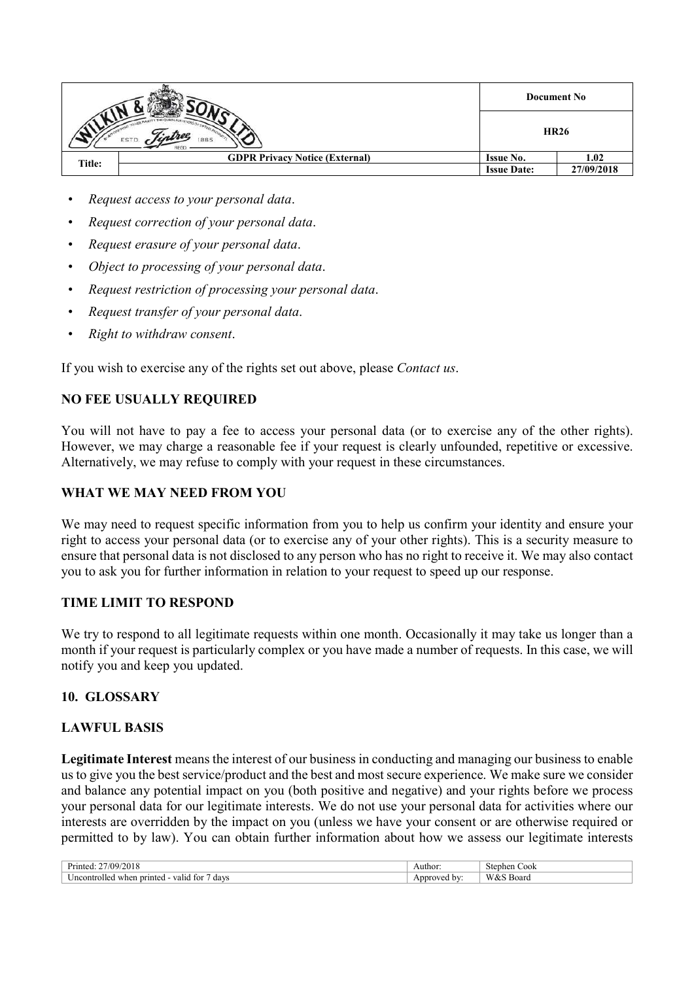| ESTD.<br>1885 |                                       | <b>Document No</b> |            |
|---------------|---------------------------------------|--------------------|------------|
|               |                                       | <b>HR26</b>        |            |
| Title:        | <b>GDPR Privacy Notice (External)</b> | <b>Issue No.</b>   | 1.02       |
|               |                                       | <b>Issue Date:</b> | 27/09/2018 |

- *Request access to your personal data*.
- *Request correction of your personal data*.
- *Request erasure of your personal data*.
- *Object to processing of your personal data*.
- *Request restriction of processing your personal data*.
- *Request transfer of your personal data*.
- *Right to withdraw consent*.

If you wish to exercise any of the rights set out above, please *Contact us*.

# **NO FEE USUALLY REQUIRED**

You will not have to pay a fee to access your personal data (or to exercise any of the other rights). However, we may charge a reasonable fee if your request is clearly unfounded, repetitive or excessive. Alternatively, we may refuse to comply with your request in these circumstances.

## **WHAT WE MAY NEED FROM YOU**

We may need to request specific information from you to help us confirm your identity and ensure your right to access your personal data (or to exercise any of your other rights). This is a security measure to ensure that personal data is not disclosed to any person who has no right to receive it. We may also contact you to ask you for further information in relation to your request to speed up our response.

## **TIME LIMIT TO RESPOND**

We try to respond to all legitimate requests within one month. Occasionally it may take us longer than a month if your request is particularly complex or you have made a number of requests. In this case, we will notify you and keep you updated.

## **10. GLOSSARY**

## **LAWFUL BASIS**

**Legitimate Interest** means the interest of our business in conducting and managing our business to enable us to give you the best service/product and the best and most secure experience. We make sure we consider and balance any potential impact on you (both positive and negative) and your rights before we process your personal data for our legitimate interests. We do not use your personal data for activities where our interests are overridden by the impact on you (unless we have your consent or are otherwise required or permitted to by law). You can obtain further information about how we assess our legitimate interests

| /2010<br>ശ<br>n.<br>Printe<br>UI C                                              | Author                              | Stephen<br>` Cook |
|---------------------------------------------------------------------------------|-------------------------------------|-------------------|
| - -<br>. for<br>davs<br>valid .<br>when<br>$\alpha$<br>contr<br>printed<br>oned | nnrover)<br>. hv<br>$\sim$ u $\sim$ | W&S B<br>Board    |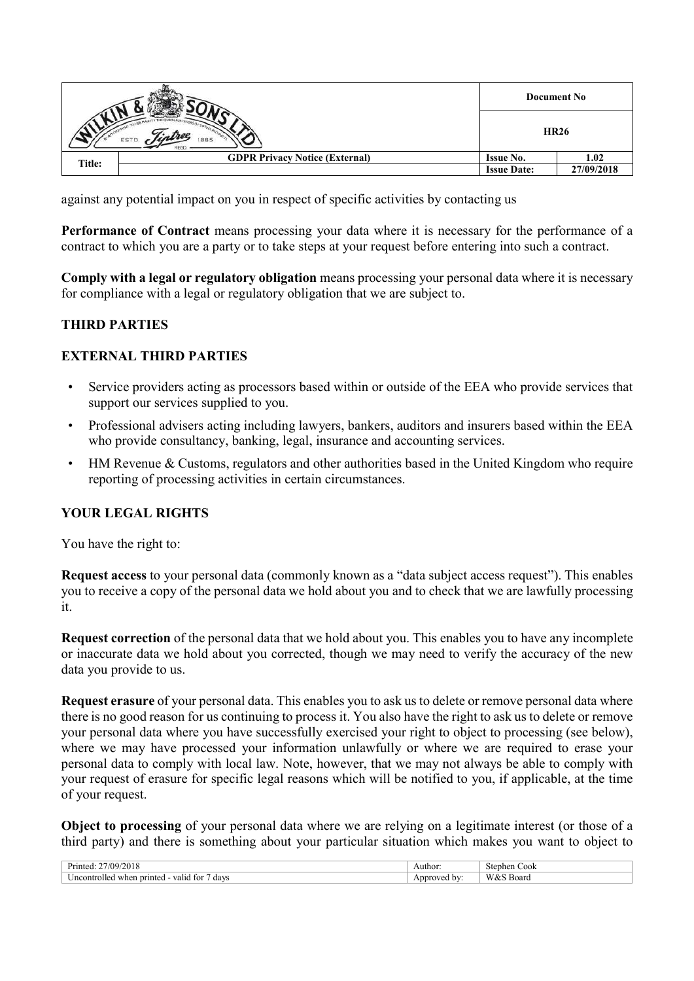| ESTO<br>885 |                                       | <b>Document No</b> |            |
|-------------|---------------------------------------|--------------------|------------|
|             |                                       | <b>HR26</b>        |            |
| Title:      | <b>GDPR Privacy Notice (External)</b> | <b>Issue No.</b>   | 1.02       |
|             |                                       | <b>Issue Date:</b> | 27/09/2018 |

against any potential impact on you in respect of specific activities by contacting us

**Performance of Contract** means processing your data where it is necessary for the performance of a contract to which you are a party or to take steps at your request before entering into such a contract.

**Comply with a legal or regulatory obligation** means processing your personal data where it is necessary for compliance with a legal or regulatory obligation that we are subject to.

#### **THIRD PARTIES**

#### **EXTERNAL THIRD PARTIES**

- Service providers acting as processors based within or outside of the EEA who provide services that support our services supplied to you.
- Professional advisers acting including lawyers, bankers, auditors and insurers based within the EEA who provide consultancy, banking, legal, insurance and accounting services.
- HM Revenue & Customs, regulators and other authorities based in the United Kingdom who require reporting of processing activities in certain circumstances.

#### **YOUR LEGAL RIGHTS**

You have the right to:

**Request access** to your personal data (commonly known as a "data subject access request"). This enables you to receive a copy of the personal data we hold about you and to check that we are lawfully processing it.

**Request correction** of the personal data that we hold about you. This enables you to have any incomplete or inaccurate data we hold about you corrected, though we may need to verify the accuracy of the new data you provide to us.

**Request erasure** of your personal data. This enables you to ask us to delete or remove personal data where there is no good reason for us continuing to process it. You also have the right to ask us to delete or remove your personal data where you have successfully exercised your right to object to processing (see below), where we may have processed your information unlawfully or where we are required to erase your personal data to comply with local law. Note, however, that we may not always be able to comply with your request of erasure for specific legal reasons which will be notified to you, if applicable, at the time of your request.

**Object to processing** of your personal data where we are relying on a legitimate interest (or those of a third party) and there is something about your particular situation which makes you want to object to

| (2019)<br>$\sim$<br>70 N.H<br>unted:<br>2018                    | Autnor                            | Cook<br>stephen    |
|-----------------------------------------------------------------|-----------------------------------|--------------------|
| --<br>davs<br>when<br>valiu<br>-nrinted<br>. for<br>Inc.<br>on⊓ | $\mathbf{A}$<br>Innnot<br>$\cdot$ | -<br>Board<br>.JX- |